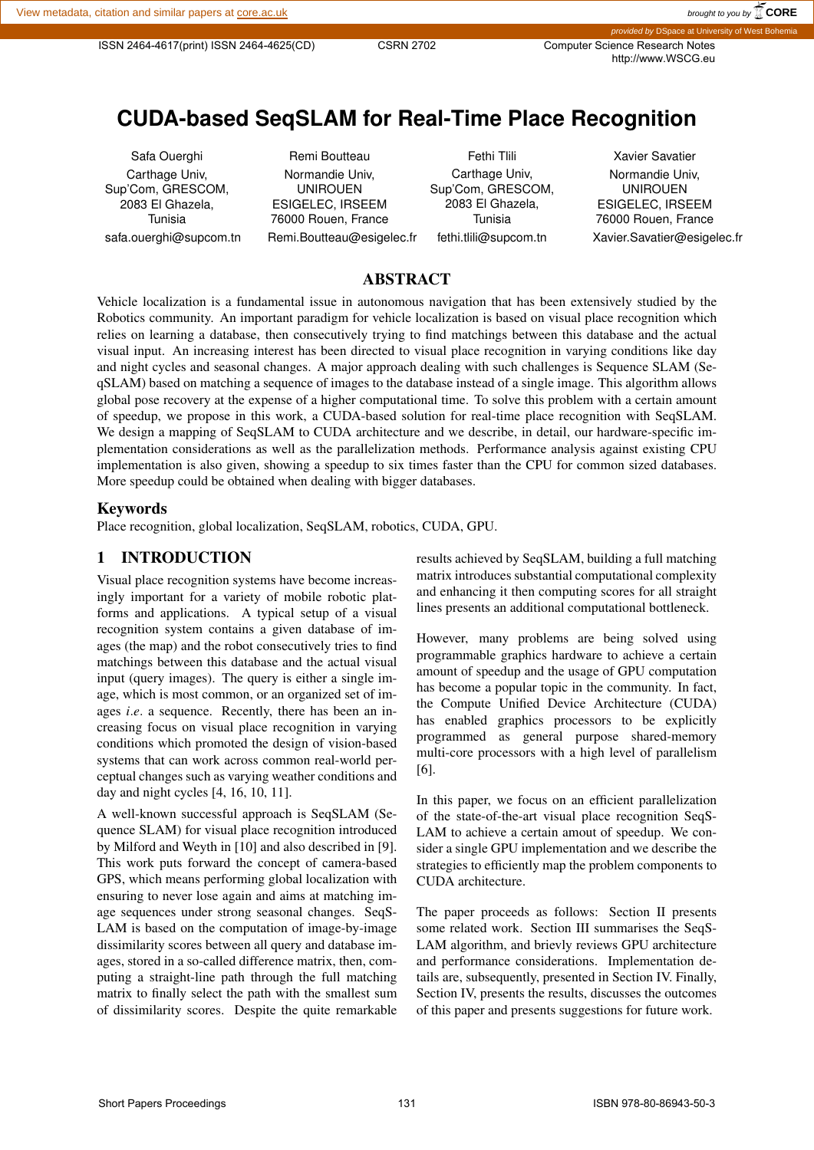http://www.WSCG.eu

# **CUDA-based SeqSLAM for Real-Time Place Recognition**

Safa Ouerghi Carthage Univ, Sup'Com, GRESCOM, 2083 El Ghazela, Tunisia safa.ouerghi@supcom.tn

Remi Boutteau Normandie Univ, UNIROUEN ESIGELEC, IRSEEM 76000 Rouen, France Remi.Boutteau@esigelec.fr

Fethi Tlili Carthage Univ, Sup'Com, GRESCOM, 2083 El Ghazela, Tunisia fethi.tlili@supcom.tn

Xavier Savatier Normandie Univ, UNIROUEN ESIGELEC, IRSEEM 76000 Rouen, France Xavier.Savatier@esigelec.fr

# ABSTRACT

Vehicle localization is a fundamental issue in autonomous navigation that has been extensively studied by the Robotics community. An important paradigm for vehicle localization is based on visual place recognition which relies on learning a database, then consecutively trying to find matchings between this database and the actual visual input. An increasing interest has been directed to visual place recognition in varying conditions like day and night cycles and seasonal changes. A major approach dealing with such challenges is Sequence SLAM (SeqSLAM) based on matching a sequence of images to the database instead of a single image. This algorithm allows global pose recovery at the expense of a higher computational time. To solve this problem with a certain amount of speedup, we propose in this work, a CUDA-based solution for real-time place recognition with SeqSLAM. We design a mapping of SeqSLAM to CUDA architecture and we describe, in detail, our hardware-specific implementation considerations as well as the parallelization methods. Performance analysis against existing CPU implementation is also given, showing a speedup to six times faster than the CPU for common sized databases. More speedup could be obtained when dealing with bigger databases.

#### Keywords

Place recognition, global localization, SeqSLAM, robotics, CUDA, GPU.

## 1 INTRODUCTION

Visual place recognition systems have become increasingly important for a variety of mobile robotic platforms and applications. A typical setup of a visual recognition system contains a given database of images (the map) and the robot consecutively tries to find matchings between this database and the actual visual input (query images). The query is either a single image, which is most common, or an organized set of images *i.e.* a sequence. Recently, there has been an increasing focus on visual place recognition in varying conditions which promoted the design of vision-based systems that can work across common real-world perceptual changes such as varying weather conditions and day and night cycles [4, 16, 10, 11].

A well-known successful approach is SeqSLAM (Sequence SLAM) for visual place recognition introduced by Milford and Weyth in [10] and also described in [9]. This work puts forward the concept of camera-based GPS, which means performing global localization with ensuring to never lose again and aims at matching image sequences under strong seasonal changes. SeqS-LAM is based on the computation of image-by-image dissimilarity scores between all query and database images, stored in a so-called difference matrix, then, computing a straight-line path through the full matching matrix to finally select the path with the smallest sum of dissimilarity scores. Despite the quite remarkable results achieved by SeqSLAM, building a full matching matrix introduces substantial computational complexity and enhancing it then computing scores for all straight lines presents an additional computational bottleneck.

However, many problems are being solved using programmable graphics hardware to achieve a certain amount of speedup and the usage of GPU computation has become a popular topic in the community. In fact, the Compute Unified Device Architecture (CUDA) has enabled graphics processors to be explicitly programmed as general purpose shared-memory multi-core processors with a high level of parallelism [6].

In this paper, we focus on an efficient parallelization of the state-of-the-art visual place recognition SeqS-LAM to achieve a certain amout of speedup. We consider a single GPU implementation and we describe the strategies to efficiently map the problem components to CUDA architecture.

The paper proceeds as follows: Section II presents some related work. Section III summarises the SeqS-LAM algorithm, and brievly reviews GPU architecture and performance considerations. Implementation details are, subsequently, presented in Section IV. Finally, Section IV, presents the results, discusses the outcomes of this paper and presents suggestions for future work.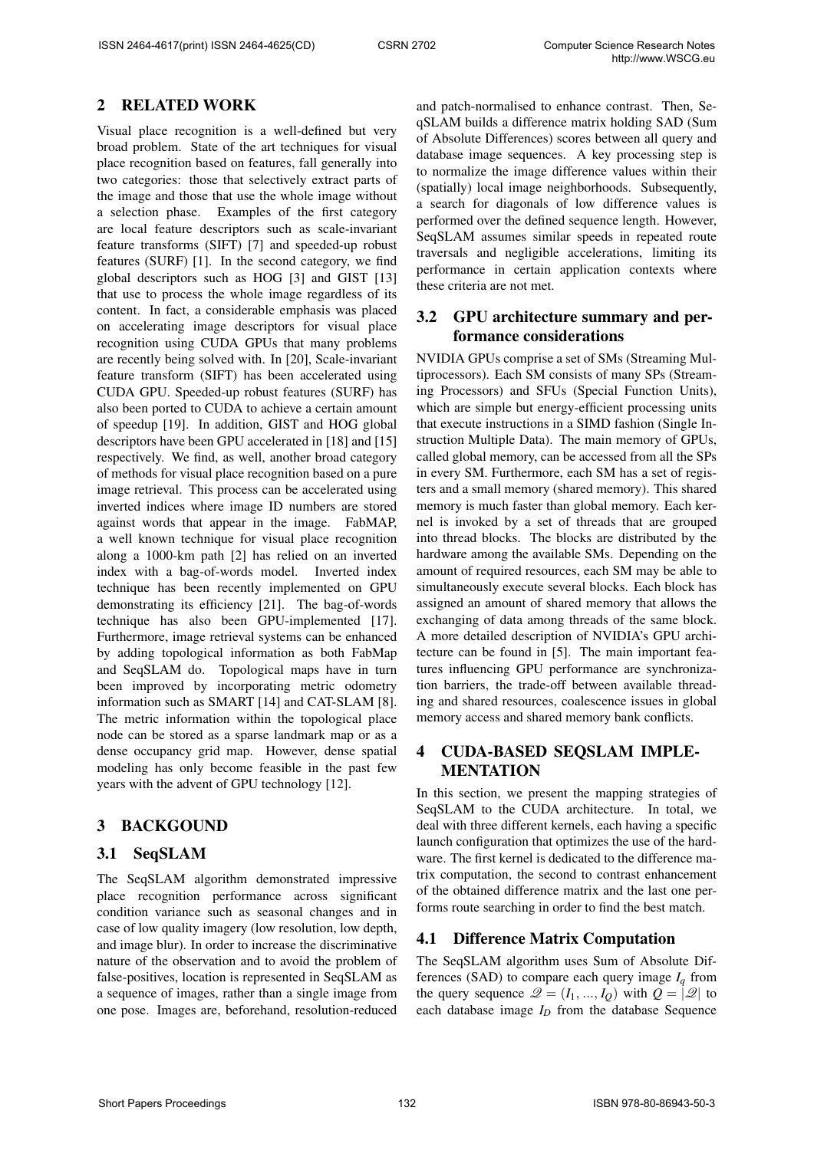# 2 RELATED WORK

Visual place recognition is a well-defined but very broad problem. State of the art techniques for visual place recognition based on features, fall generally into two categories: those that selectively extract parts of the image and those that use the whole image without a selection phase. Examples of the first category are local feature descriptors such as scale-invariant feature transforms (SIFT) [7] and speeded-up robust features (SURF) [1]. In the second category, we find global descriptors such as HOG [3] and GIST [13] that use to process the whole image regardless of its content. In fact, a considerable emphasis was placed on accelerating image descriptors for visual place recognition using CUDA GPUs that many problems are recently being solved with. In [20], Scale-invariant feature transform (SIFT) has been accelerated using CUDA GPU. Speeded-up robust features (SURF) has also been ported to CUDA to achieve a certain amount of speedup [19]. In addition, GIST and HOG global descriptors have been GPU accelerated in [18] and [15] respectively. We find, as well, another broad category of methods for visual place recognition based on a pure image retrieval. This process can be accelerated using inverted indices where image ID numbers are stored against words that appear in the image. FabMAP, a well known technique for visual place recognition along a 1000-km path [2] has relied on an inverted index with a bag-of-words model. Inverted index technique has been recently implemented on GPU demonstrating its efficiency [21]. The bag-of-words technique has also been GPU-implemented [17]. Furthermore, image retrieval systems can be enhanced by adding topological information as both FabMap and SeqSLAM do. Topological maps have in turn been improved by incorporating metric odometry information such as SMART [14] and CAT-SLAM [8]. The metric information within the topological place node can be stored as a sparse landmark map or as a dense occupancy grid map. However, dense spatial modeling has only become feasible in the past few years with the advent of GPU technology [12].

# 3 BACKGOUND

# 3.1 SeqSLAM

The SeqSLAM algorithm demonstrated impressive place recognition performance across significant condition variance such as seasonal changes and in case of low quality imagery (low resolution, low depth, and image blur). In order to increase the discriminative nature of the observation and to avoid the problem of false-positives, location is represented in SeqSLAM as a sequence of images, rather than a single image from one pose. Images are, beforehand, resolution-reduced and patch-normalised to enhance contrast. Then, SeqSLAM builds a difference matrix holding SAD (Sum of Absolute Differences) scores between all query and database image sequences. A key processing step is to normalize the image difference values within their (spatially) local image neighborhoods. Subsequently, a search for diagonals of low difference values is performed over the defined sequence length. However, SeqSLAM assumes similar speeds in repeated route traversals and negligible accelerations, limiting its performance in certain application contexts where these criteria are not met.

# 3.2 GPU architecture summary and performance considerations

NVIDIA GPUs comprise a set of SMs (Streaming Multiprocessors). Each SM consists of many SPs (Streaming Processors) and SFUs (Special Function Units), which are simple but energy-efficient processing units that execute instructions in a SIMD fashion (Single Instruction Multiple Data). The main memory of GPUs, called global memory, can be accessed from all the SPs in every SM. Furthermore, each SM has a set of registers and a small memory (shared memory). This shared memory is much faster than global memory. Each kernel is invoked by a set of threads that are grouped into thread blocks. The blocks are distributed by the hardware among the available SMs. Depending on the amount of required resources, each SM may be able to simultaneously execute several blocks. Each block has assigned an amount of shared memory that allows the exchanging of data among threads of the same block. A more detailed description of NVIDIA's GPU architecture can be found in [5]. The main important features influencing GPU performance are synchronization barriers, the trade-off between available threading and shared resources, coalescence issues in global memory access and shared memory bank conflicts.

# 4 CUDA-BASED SEQSLAM IMPLE-**MENTATION**

In this section, we present the mapping strategies of SeqSLAM to the CUDA architecture. In total, we deal with three different kernels, each having a specific launch configuration that optimizes the use of the hardware. The first kernel is dedicated to the difference matrix computation, the second to contrast enhancement of the obtained difference matrix and the last one performs route searching in order to find the best match.

# 4.1 Difference Matrix Computation

The SeqSLAM algorithm uses Sum of Absolute Differences (SAD) to compare each query image  $I_q$  from the query sequence  $\mathcal{Q} = (I_1, ..., I_Q)$  with  $Q = |\mathcal{Q}|$  to each database image  $I_D$  from the database Sequence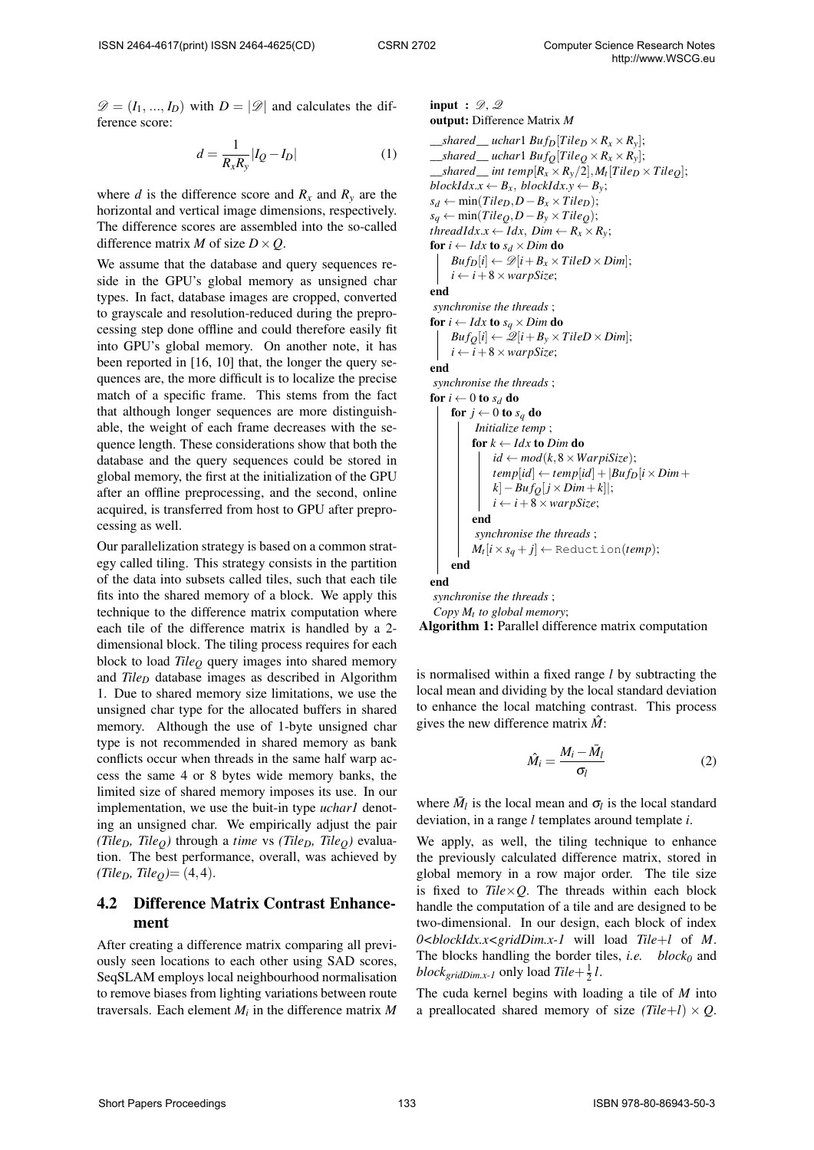$\mathscr{D} = (I_1, ..., I_D)$  with  $D = |\mathscr{D}|$  and calculates the difference score:

$$
d = \frac{1}{R_x R_y} |I_Q - I_D| \tag{1}
$$

where *d* is the difference score and  $R_x$  and  $R_y$  are the horizontal and vertical image dimensions, respectively. The difference scores are assembled into the so-called difference matrix *M* of size  $D \times Q$ .

We assume that the database and query sequences reside in the GPU's global memory as unsigned char types. In fact, database images are cropped, converted to grayscale and resolution-reduced during the preprocessing step done offline and could therefore easily fit into GPU's global memory. On another note, it has been reported in [16, 10] that, the longer the query sequences are, the more difficult is to localize the precise match of a specific frame. This stems from the fact that although longer sequences are more distinguishable, the weight of each frame decreases with the sequence length. These considerations show that both the database and the query sequences could be stored in global memory, the first at the initialization of the GPU after an offline preprocessing, and the second, online acquired, is transferred from host to GPU after preprocessing as well.

Our parallelization strategy is based on a common strategy called tiling. This strategy consists in the partition of the data into subsets called tiles, such that each tile fits into the shared memory of a block. We apply this technique to the difference matrix computation where each tile of the difference matrix is handled by a 2 dimensional block. The tiling process requires for each block to load *Tile<sup>Q</sup>* query images into shared memory and *Tile<sup>D</sup>* database images as described in Algorithm 1. Due to shared memory size limitations, we use the unsigned char type for the allocated buffers in shared memory. Although the use of 1-byte unsigned char type is not recommended in shared memory as bank conflicts occur when threads in the same half warp access the same 4 or 8 bytes wide memory banks, the limited size of shared memory imposes its use. In our implementation, we use the buit-in type *uchar1* denoting an unsigned char. We empirically adjust the pair *(Tile<sub>D</sub>, Tile<sub>O</sub>*) through a *time* vs *(Tile<sub>D</sub>, Tile<sub>O</sub>*) evaluation. The best performance, overall, was achieved by  $(Tile_D, Tile_O) = (4, 4).$ 

# 4.2 Difference Matrix Contrast Enhancement

After creating a difference matrix comparing all previously seen locations to each other using SAD scores, SeqSLAM employs local neighbourhood normalisation to remove biases from lighting variations between route traversals. Each element *M<sup>i</sup>* in the difference matrix *M*

```
input : \mathscr{D}, \mathscr{Q}output: Difference Matrix M
\qquad__shared \qquad uchar1 Buf_D[Tile_D \times R_x \times R_y];\qquad_shared \qquad uchar1 \frac{Buf_0}{Tile_0 \times R_x \times R_y};
\_\_shared\_int temp[R_x \times R_y/2], M_t[Tile_D \times Tile_Q];blockIdx.x \leftarrow B_x, blockIdx.y \leftarrow B_y;s_d ← min(Tile<sub>D</sub>,D−B<sub>x</sub> × Tile<sub>D</sub>);
sq ← min(TileQ,D−By ×TileQ);
threadIdx.x ← Idx, Dim ← R_x \times R_y;
for i \leftarrow I dx to s_d \times Dim do
      Buf_D[i] \leftarrow \mathscr{D}[i + B_x \times TitleD \times Dim];i \leftarrow i + 8 \times \text{warpSize};
end
synchronise the threads ;
for i \leftarrow I dx to s_q \times Dim do
     Buf_O[i] \leftarrow \mathcal{Q}[i + B_v \times TileD \times Dim];i \leftarrow i + 8 \times \text{warpSize};
end
 synchronise the threads ;
for i \leftarrow 0 to s_d do
     for j \leftarrow 0 to s_a do
            Initialize temp ;
            for k ← Idx to Dim do
                 id \leftarrow mod(k, 8 \times WarpiSize);temp[id] \leftarrow temp[id] + |Buf_D[i \times Dim +k<sup>|</sup> − Buf<sup>Q</sup></sub>j × Dim + k<sup>|</sup>|;
                 i \leftarrow i + 8 \times \text{warpSize};
            end
             synchronise the threads ;
            M_t[i \times s_q + j] \leftarrow \text{Reduction}(temp);end
end
 synchronise the threads ;
 Copy Mt
to global memory;
```
Algorithm 1: Parallel difference matrix computation

is normalised within a fixed range *l* by subtracting the local mean and dividing by the local standard deviation to enhance the local matching contrast. This process gives the new difference matrix  $\hat{M}$ :

$$
\hat{M}_i = \frac{M_i - \bar{M}_l}{\sigma_l} \tag{2}
$$

where  $\bar{M}_l$  is the local mean and  $\sigma_l$  is the local standard deviation, in a range *l* templates around template *i*.

We apply, as well, the tiling technique to enhance the previously calculated difference matrix, stored in global memory in a row major order. The tile size is fixed to  $Tile \times Q$ . The threads within each block handle the computation of a tile and are designed to be two-dimensional. In our design, each block of index *0<blockIdx.x<gridDim.x-1* will load *Tile*+*l* of *M*. The blocks handling the border tiles, *i.e. block<sup>0</sup>* and  $block_{gridDim.x-I}$  only load  $Tile + \frac{1}{2}l$ .

The cuda kernel begins with loading a tile of *M* into a preallocated shared memory of size  $(Tile+1) \times Q$ .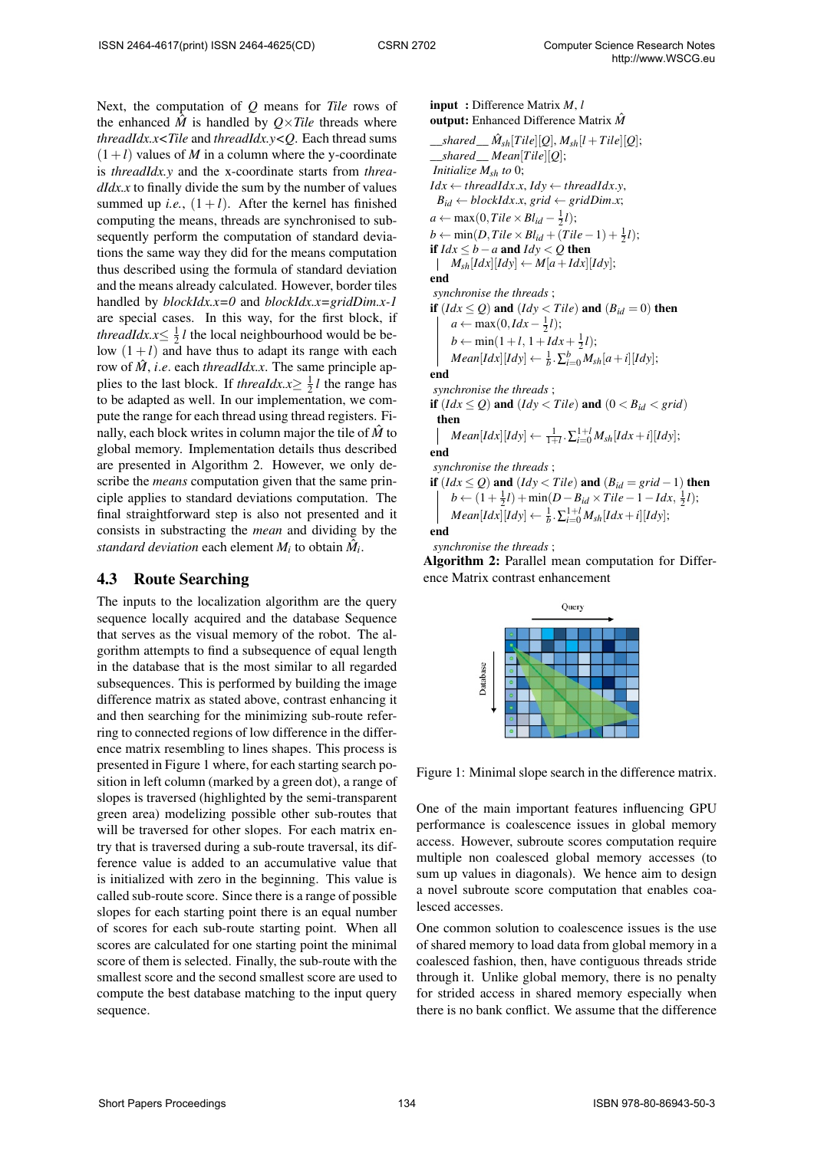Next, the computation of *Q* means for *Tile* rows of the enhanced  $\hat{M}$  is handled by  $Q \times Tile$  threads where *threadIdx.x<Tile* and *threadIdx.y<Q*. Each thread sums  $(1+l)$  values of *M* in a column where the y-coordinate is *threadIdx.y* and the x-coordinate starts from *threadIdx.x* to finally divide the sum by the number of values summed up *i.e.*,  $(1 + l)$ . After the kernel has finished computing the means, threads are synchronised to subsequently perform the computation of standard deviations the same way they did for the means computation thus described using the formula of standard deviation and the means already calculated. However, border tiles handled by *blockIdx.x=0* and *blockIdx.x=gridDim.x-1* are special cases. In this way, for the first block, if *threadIdx.x* $\leq \frac{1}{2}$ *l* the local neighbourhood would be below  $(1 + l)$  and have thus to adapt its range with each row of  $\hat{M}$ , *i.e.* each *threadIdx.x*. The same principle applies to the last block. If *threaIdx.x* $\geq \frac{1}{2}$ *l* the range has to be adapted as well. In our implementation, we compute the range for each thread using thread registers. Finally, each block writes in column major the tile of  $\dot{M}$  to global memory. Implementation details thus described are presented in Algorithm 2. However, we only describe the *means* computation given that the same principle applies to standard deviations computation. The final straightforward step is also not presented and it consists in substracting the *mean* and dividing by the *standard deviation* each element  $M_i$  to obtain  $\hat{M}_i$ .

## 4.3 Route Searching

The inputs to the localization algorithm are the query sequence locally acquired and the database Sequence that serves as the visual memory of the robot. The algorithm attempts to find a subsequence of equal length in the database that is the most similar to all regarded subsequences. This is performed by building the image difference matrix as stated above, contrast enhancing it and then searching for the minimizing sub-route referring to connected regions of low difference in the difference matrix resembling to lines shapes. This process is presented in Figure 1 where, for each starting search position in left column (marked by a green dot), a range of slopes is traversed (highlighted by the semi-transparent green area) modelizing possible other sub-routes that will be traversed for other slopes. For each matrix entry that is traversed during a sub-route traversal, its difference value is added to an accumulative value that is initialized with zero in the beginning. This value is called sub-route score. Since there is a range of possible slopes for each starting point there is an equal number of scores for each sub-route starting point. When all scores are calculated for one starting point the minimal score of them is selected. Finally, the sub-route with the smallest score and the second smallest score are used to compute the best database matching to the input query sequence.

input : Difference Matrix *M*, *l*

output: Enhanced Difference Matrix *M*ˆ

 $\hat{M}_{sh}[Tile][Q], M_{sh}[l+Tile][Q];$ \_\_*shared*\_\_ *Mean*[*Tile*][*Q*]; *Initialize Msh to* 0;  $Idx \leftarrow \text{threadIdx.x}, \text{Idy} \leftarrow \text{threadIdx.y},$  $B_{id} \leftarrow blockIdx.x, grid \leftarrow gridDim.x;$  $a \leftarrow \max(0, Tile \times Bl_{id} - \frac{1}{2}l);$  $b \leftarrow \min(D, Title \times Bl_{id} + (Tile - 1) + \frac{1}{2}l);$ *if*  $Idx$  ≤ *b* − *a* and  $Idy$  ≤ *O* then  $M_{sh}[Idx][Idx]$  ← *M*[ $a+Idx][Idy$ ]; end *synchronise the threads* ; if  $(Idx \le Q)$  and  $(Idy < Tile)$  and  $(B_{id} = 0)$  then  $a \leftarrow \max(0, Idx - \frac{1}{2}l);$  $b \leftarrow \min(1+l, 1+Idx+\frac{1}{2}l);$  $Mean[Idx][Idx] \leftarrow \frac{1}{b} \cdot \sum_{i=0}^{b} M_{sh}[a+i][Idy];$ end *synchronise the threads* ; if  $(Idx \le Q)$  and  $(Idy <$  *Tile*) and  $(0 < B_{id} <$  *grid*) then  $Mean[Idx][Idy] \leftarrow \frac{1}{1+l} \cdot \sum_{i=0}^{1+l} M_{sh}[Idx + i][Idy];$ end *synchronise the threads* ; **if**  $(Idx \le Q)$  and  $(Idy < Tile)$  and  $(B_{id} = grid - 1)$  then  $b \leftarrow (1 + \frac{1}{2}l) + \min(D - B_{id} \times Tile - 1 - Idx, \frac{1}{2}l);$  $Mean[Idx][Idy] \leftarrow \frac{1}{b} \cdot \sum_{i=0}^{1+l} M_{sh}[Idx + i][Idy];$ 

end

*synchronise the threads* ;

Algorithm 2: Parallel mean computation for Difference Matrix contrast enhancement

|          | Query |  |  |
|----------|-------|--|--|
|          |       |  |  |
|          |       |  |  |
|          |       |  |  |
| Database |       |  |  |
|          |       |  |  |
|          |       |  |  |
|          |       |  |  |
|          |       |  |  |
|          |       |  |  |

Figure 1: Minimal slope search in the difference matrix.

One of the main important features influencing GPU performance is coalescence issues in global memory access. However, subroute scores computation require multiple non coalesced global memory accesses (to sum up values in diagonals). We hence aim to design a novel subroute score computation that enables coalesced accesses.

One common solution to coalescence issues is the use of shared memory to load data from global memory in a coalesced fashion, then, have contiguous threads stride through it. Unlike global memory, there is no penalty for strided access in shared memory especially when there is no bank conflict. We assume that the difference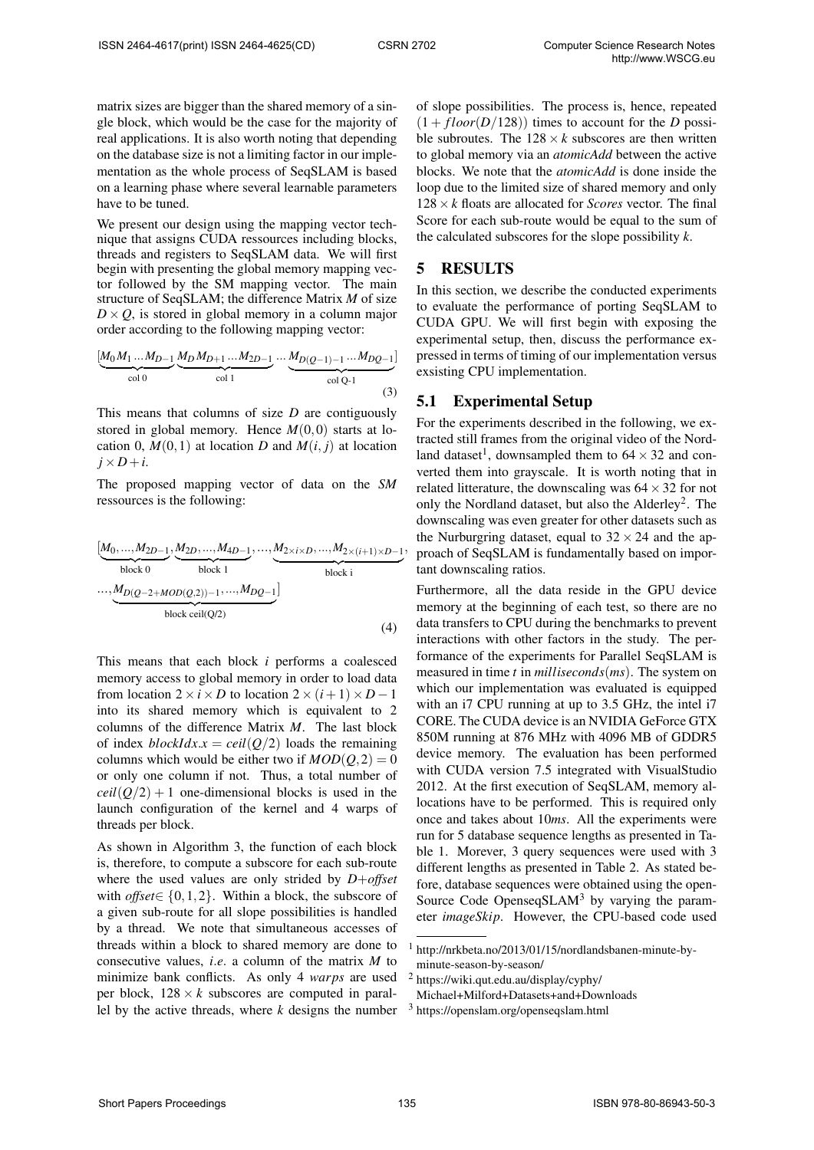matrix sizes are bigger than the shared memory of a single block, which would be the case for the majority of real applications. It is also worth noting that depending on the database size is not a limiting factor in our implementation as the whole process of SeqSLAM is based on a learning phase where several learnable parameters have to be tuned.

We present our design using the mapping vector technique that assigns CUDA ressources including blocks, threads and registers to SeqSLAM data. We will first begin with presenting the global memory mapping vector followed by the SM mapping vector. The main structure of SeqSLAM; the difference Matrix *M* of size  $D \times Q$ , is stored in global memory in a column major order according to the following mapping vector:

$$
\underbrace{[M_0 M_1 \dots M_{D-1} \underbrace{M_D M_{D+1} \dots M_{2D-1}}_{\text{col 1}}}_{\text{col 1}} \dots \underbrace{M_{D(Q-1)-1} \dots M_{DQ-1}]}_{\text{col Q-1}}
$$
\n(3)

This means that columns of size *D* are contiguously stored in global memory. Hence  $M(0,0)$  starts at location 0,  $M(0,1)$  at location *D* and  $M(i, j)$  at location  $j \times D + i$ .

The proposed mapping vector of data on the *SM* ressources is the following:

$$
[M_0, ..., M_{2D-1}, M_{2D}, ..., M_{4D-1}, ..., M_{2 \times i \times D}, ..., M_{2 \times (i+1) \times D-1},
$$
  
\nblock 1  
\nblock 1  
\nblock 1  
\nblock 0  
\nblock 0  
\nblock 0  
\nblock 1  
\nblock 2  
\nblock 1  
\nblock 2  
\nblock 2  
\nblock 1  
\nblock 2  
\nblock 2  
\nblock 1  
\nblock 2  
\nblock 1  
\nblock 2  
\nblock 1  
\nblock 2  
\nblock 1  
\nblock 2  
\nblock 1  
\nblock 2  
\nblock 1  
\nblock 2  
\nblock 1  
\nblock 2  
\nblock 1  
\nblock 2  
\nbrace 1  
\nbrace 2  
\nbrace 1  
\nbrace 2  
\nbrace 1  
\nbrace 2  
\nbrace 1  
\nbrace 2  
\nbrace 1  
\nbrace 2  
\nbrace 1  
\nbrace 2  
\nbrace 1  
\nbrace 2  
\nbrace 1  
\nbrace 2  
\nbrace 2  
\nbrace 1  
\nbrace 2  
\nbrace 2  
\nbrace 2  
\nbrace 2  
\nbrace 2  
\nbrace 2  
\nbrace 2  
\nbrace 2  
\nbrace 2  
\nbrace 2  
\nbrace 2  
\nbrace 2  
\nbrace 2  
\nbrace 2  
\nbrace 2  
\nbrace 2  
\nbrace 2  
\nbrace 2  
\nbrace 2  
\nbrace 2  
\nbrace 2  
\nbrace 2  
\nbrace 2  
\nbrace 2  
\nbrace 2  
\nbrace 2  
\nbrace 2  
\nbrace 2  
\nbrace 2  
\nbrace 2  
\nbrace 2  
\nbrace 2  
\nbrace 2  
\nbrace 2  
\nbrace 2  
\nbrace 2  
\nbrace 2  
\nbrace 2  
\nbrace 2  
\nbrace 2  
\nbrace 2  
\nbrace 2  
\nbrace 2  
\nbrace 2  
\nbrace 2  
\nbrace 2  
\nbrace 2  
\nbrace 2  
\nbrace 2  
\nbrace 2  
\nbrace 2  
\nbrace 2  
\nbrace 2  
\nbrace 2  
\nbrace 2  
\nbrace 2  
\nbrace 2  
\nbrace 2  
\nbrace 2  
\nbrace 2  
\nbrace 2  
\nbrace 2  
\nbrace 2  
\nbrace 2  
\nbrace 2  
\nbrace 2  
\nbrace 2  
\nbrace 2  
\nbrace 2

This means that each block *i* performs a coalesced memory access to global memory in order to load data from location  $2 \times i \times D$  to location  $2 \times (i+1) \times D - 1$ into its shared memory which is equivalent to 2 columns of the difference Matrix *M*. The last block of index *blockIdx.x* =  $ceil(Q/2)$  loads the remaining columns which would be either two if  $MOD(Q,2) = 0$ or only one column if not. Thus, a total number of  $ceil(Q/2) + 1$  one-dimensional blocks is used in the launch configuration of the kernel and 4 warps of threads per block.

As shown in Algorithm 3, the function of each block is, therefore, to compute a subscore for each sub-route where the used values are only strided by *D*+*offset* with *offset*∈ {0,1,2}. Within a block, the subscore of a given sub-route for all slope possibilities is handled by a thread. We note that simultaneous accesses of threads within a block to shared memory are done to consecutive values, *i*.*e*. a column of the matrix *M* to minimize bank conflicts. As only 4 *warps* are used per block,  $128 \times k$  subscores are computed in parallel by the active threads, where *k* designs the number of slope possibilities. The process is, hence, repeated  $(1 + floor(D/128))$  times to account for the *D* possible subroutes. The  $128 \times k$  subscores are then written to global memory via an *atomicAdd* between the active blocks. We note that the *atomicAdd* is done inside the loop due to the limited size of shared memory and only 128×*k* floats are allocated for *Scores* vector. The final Score for each sub-route would be equal to the sum of the calculated subscores for the slope possibility *k*.

#### 5 RESULTS

In this section, we describe the conducted experiments to evaluate the performance of porting SeqSLAM to CUDA GPU. We will first begin with exposing the experimental setup, then, discuss the performance expressed in terms of timing of our implementation versus exsisting CPU implementation.

#### 5.1 Experimental Setup

For the experiments described in the following, we extracted still frames from the original video of the Nordland dataset<sup>1</sup>, downsampled them to  $64 \times 32$  and converted them into grayscale. It is worth noting that in related litterature, the downscaling was  $64 \times 32$  for not only the Nordland dataset, but also the Alderley<sup>2</sup>. The downscaling was even greater for other datasets such as the Nurburgring dataset, equal to  $32 \times 24$  and the approach of SeqSLAM is fundamentally based on important downscaling ratios.

Furthermore, all the data reside in the GPU device memory at the beginning of each test, so there are no data transfers to CPU during the benchmarks to prevent interactions with other factors in the study. The performance of the experiments for Parallel SeqSLAM is measured in time *t* in *milliseconds*(*ms*). The system on which our implementation was evaluated is equipped with an i7 CPU running at up to 3.5 GHz, the intel i7 CORE. The CUDA device is an NVIDIA GeForce GTX 850M running at 876 MHz with 4096 MB of GDDR5 device memory. The evaluation has been performed with CUDA version 7.5 integrated with VisualStudio 2012. At the first execution of SeqSLAM, memory allocations have to be performed. This is required only once and takes about 10*ms*. All the experiments were run for 5 database sequence lengths as presented in Table 1. Morever, 3 query sequences were used with 3 different lengths as presented in Table 2. As stated before, database sequences were obtained using the open-Source Code Openseq $SLAM<sup>3</sup>$  by varying the parameter *imageSkip*. However, the CPU-based code used

http://nrkbeta.no/2013/01/15/nordlandsbanen-minute-byminute-season-by-season/

<sup>2</sup> https://wiki.qut.edu.au/display/cyphy/ Michael+Milford+Datasets+and+Downloads

<sup>3</sup> https://openslam.org/openseqslam.html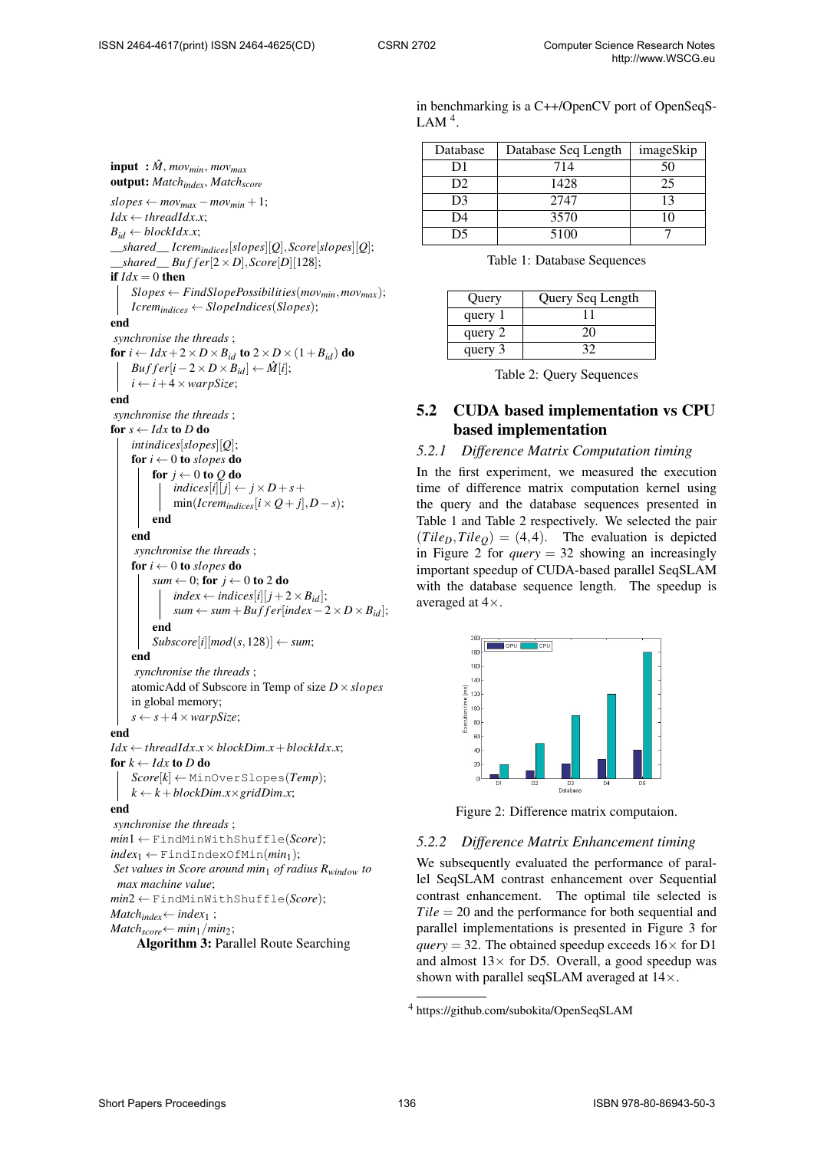$\text{input}: \hat{M}, \text{mov}_{\text{min}}, \text{mov}_{\text{max}}$ output: *Matchindex*, *Matchscore*  $slopes \leftarrow mov_{max} - mov_{min} + 1;$  $Idx \leftarrow \text{threadIdx.x}$ ;  $B_{id} \leftarrow blockIdx.x;$ \_\_*shared*\_\_ *Icremindices*[*slopes*][*Q*],*Score*[*slopes*][*Q*];  $\_shared$  *Buffer*[2 × *D*], *Score*[*D*][128]; if  $Idx = 0$  then  $Slopes \leftarrow FindSlope Possibilities(mov_{min}, mov_{max});$  $Icrem_{indices} \leftarrow Slopelndices(Slopes);$ end *synchronise the threads* ; for  $i \leftarrow Idx + 2 \times D \times B_{id}$  to  $2 \times D \times (1 + B_{id})$  do  $Buffer[i-2\times D\times B_{id}] \leftarrow \hat{M}[i];$  $i \leftarrow i + 4 \times \text{warpSize}$ ; end *synchronise the threads* ; for  $s \leftarrow Idx$  to *D* do *intindices*[*slopes*][*Q*]; for  $i \leftarrow 0$  to *slopes* do for  $j \leftarrow 0$  to  $Q$  do  $indices[i][j] \leftarrow j \times D + s + j$  $min(Icrem_{indices}[i \times Q + j], D - s);$ end end *synchronise the threads* ; for  $i \leftarrow 0$  to *slopes* do *sum*  $\leftarrow$  0; for  $j \leftarrow$  0 to 2 do  $index \leftarrow indices[i][j+2 \times B_{id}];$  $sum \leftarrow sum + Buffer[index - 2 \times D \times B_{id}];$ end  $Subscore[i][mod(s, 128)] \leftarrow sum;$ end *synchronise the threads* ; atomicAdd of Subscore in Temp of size *D*×*slopes* in global memory;  $s \leftarrow s + 4 \times \text{warpSize}$ ; end  $Idx \leftarrow \text{threadIdx.x} \times \text{blockDim.x} + \text{blockIdx.x}$ ; for  $k \leftarrow I dx$  to *D* do  $Score[k] \leftarrow MinOverSlopes(Temp);$  $k \leftarrow k + blockDim.x \times gridDim.x;$ end *synchronise the threads* ; *min*1 ← FindMinWithShuffle(*Score*);  $index_1 \leftarrow \text{FindIndexOfMin}(min_1);$ *Set values in Score around min*<sup>1</sup> *of radius Rwindow to max machine value*; *min*2 ← FindMinWithShuffle(*Score*); *Match*<sub>index</sub>  $\leftarrow$  *index*<sub>1</sub> ;

 $Match<sub>score</sub> ← min<sub>1</sub>/min<sub>2</sub>;$ 

Algorithm 3: Parallel Route Searching

in benchmarking is a C++/OpenCV port of OpenSeqS-LAM<sup> $4$ </sup>.

| Database       | Database Seq Length | imageSkip |
|----------------|---------------------|-----------|
| D1             | 714                 | 50        |
| D <sub>2</sub> | 1428                | 25        |
| D <sub>3</sub> | 2747                | 13        |
| D4             | 3570                |           |
| D5             | 5100                |           |

Table 1: Database Sequences

| Query   | Query Seq Length |
|---------|------------------|
| query 1 |                  |
| query 2 | 20               |
| query 3 | 32               |

Table 2: Query Sequences

# 5.2 CUDA based implementation vs CPU based implementation

#### *5.2.1 Difference Matrix Computation timing*

In the first experiment, we measured the execution time of difference matrix computation kernel using the query and the database sequences presented in Table 1 and Table 2 respectively. We selected the pair  $(Tile_D, Tile_Q) = (4, 4)$ . The evaluation is depicted in Figure 2 for *query* = 32 showing an increasingly important speedup of CUDA-based parallel SeqSLAM with the database sequence length. The speedup is averaged at 4×.



Figure 2: Difference matrix computaion.

#### *5.2.2 Difference Matrix Enhancement timing*

We subsequently evaluated the performance of parallel SeqSLAM contrast enhancement over Sequential contrast enhancement. The optimal tile selected is *Tile* = 20 and the performance for both sequential and parallel implementations is presented in Figure 3 for *query* = 32. The obtained speedup exceeds  $16 \times$  for D1 and almost  $13 \times$  for D5. Overall, a good speedup was shown with parallel seqSLAM averaged at  $14\times$ .

<sup>4</sup> https://github.com/subokita/OpenSeqSLAM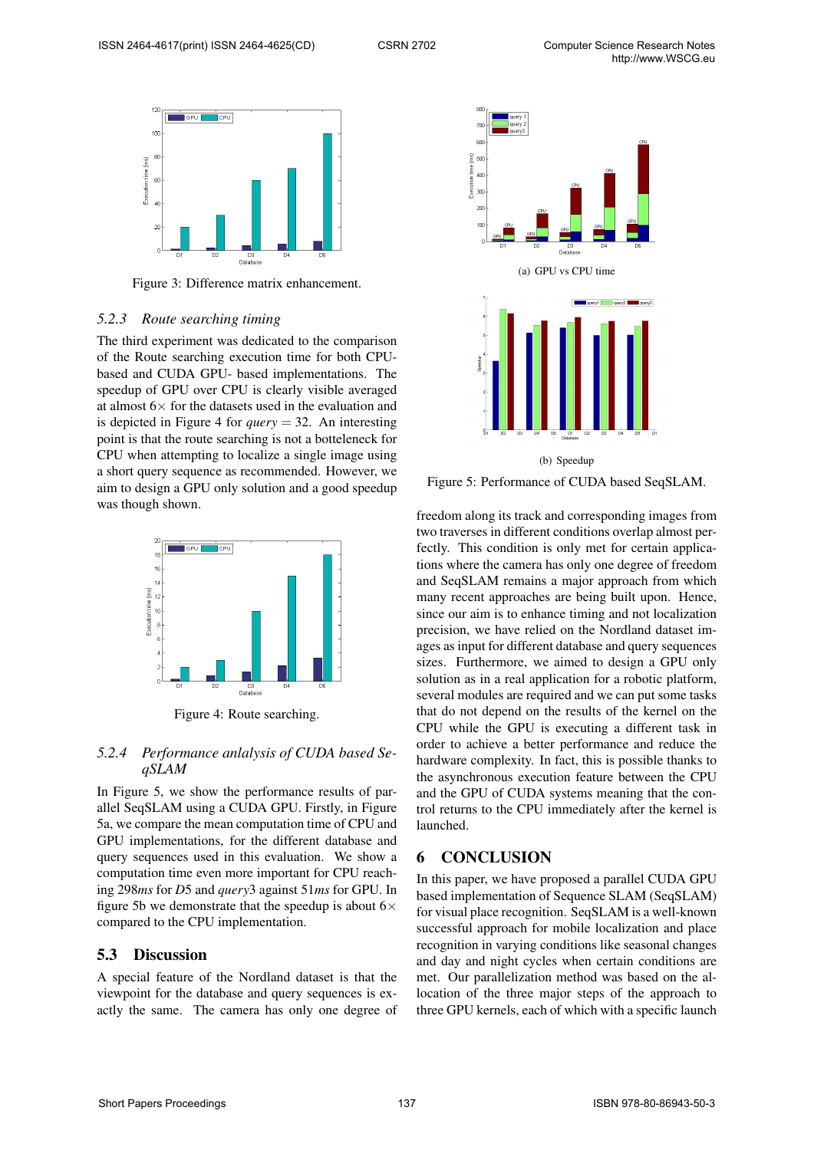

Figure 3: Difference matrix enhancement.

#### *5.2.3 Route searching timing*

The third experiment was dedicated to the comparison of the Route searching execution time for both CPUbased and CUDA GPU- based implementations. The speedup of GPU over CPU is clearly visible averaged at almost  $6\times$  for the datasets used in the evaluation and is depicted in Figure 4 for *query* = 32. An interesting point is that the route searching is not a botteleneck for CPU when attempting to localize a single image using a short query sequence as recommended. However, we aim to design a GPU only solution and a good speedup was though shown.



Figure 4: Route searching.

#### *5.2.4 Performance anlalysis of CUDA based SeqSLAM*

In Figure 5, we show the performance results of parallel SeqSLAM using a CUDA GPU. Firstly, in Figure 5a, we compare the mean computation time of CPU and GPU implementations, for the different database and query sequences used in this evaluation. We show a computation time even more important for CPU reaching 298*ms* for *D*5 and *query*3 against 51*ms* for GPU. In figure 5b we demonstrate that the speedup is about  $6 \times$ compared to the CPU implementation.

#### 5.3 Discussion

A special feature of the Nordland dataset is that the viewpoint for the database and query sequences is exactly the same. The camera has only one degree of



Figure 5: Performance of CUDA based SeqSLAM.

freedom along its track and corresponding images from two traverses in different conditions overlap almost perfectly. This condition is only met for certain applications where the camera has only one degree of freedom and SeqSLAM remains a major approach from which many recent approaches are being built upon. Hence, since our aim is to enhance timing and not localization precision, we have relied on the Nordland dataset images as input for different database and query sequences sizes. Furthermore, we aimed to design a GPU only solution as in a real application for a robotic platform, several modules are required and we can put some tasks that do not depend on the results of the kernel on the CPU while the GPU is executing a different task in order to achieve a better performance and reduce the hardware complexity. In fact, this is possible thanks to the asynchronous execution feature between the CPU and the GPU of CUDA systems meaning that the control returns to the CPU immediately after the kernel is launched.

### 6 CONCLUSION

In this paper, we have proposed a parallel CUDA GPU based implementation of Sequence SLAM (SeqSLAM) for visual place recognition. SeqSLAM is a well-known successful approach for mobile localization and place recognition in varying conditions like seasonal changes and day and night cycles when certain conditions are met. Our parallelization method was based on the allocation of the three major steps of the approach to three GPU kernels, each of which with a specific launch